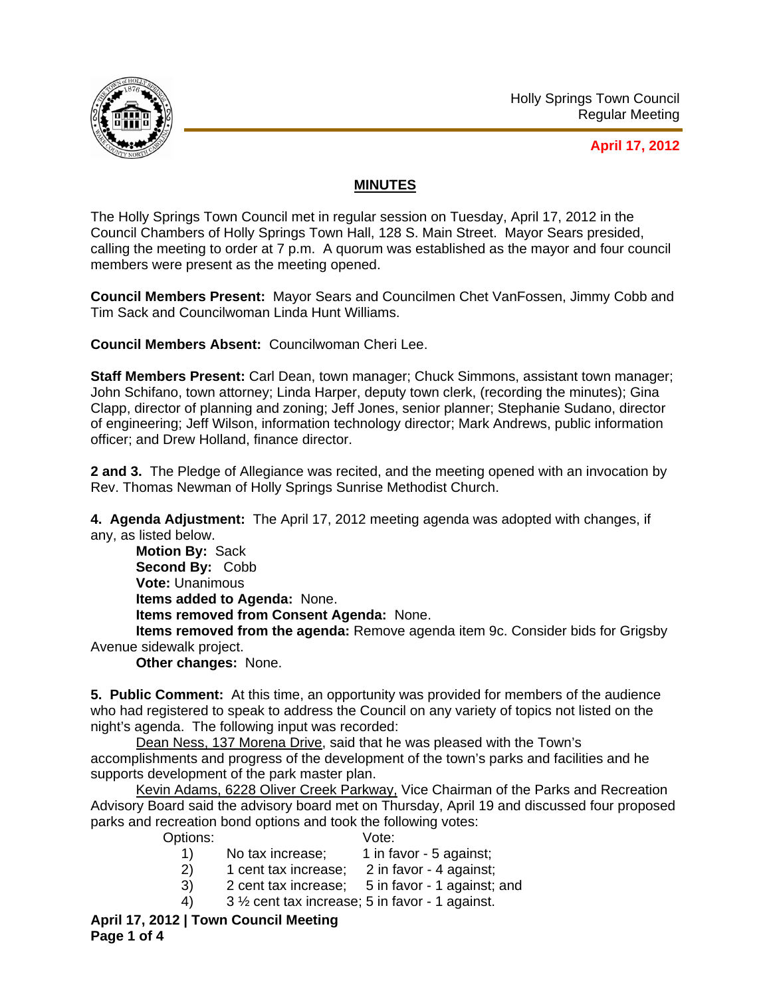

## **April 17, 2012**

## **MINUTES**

The Holly Springs Town Council met in regular session on Tuesday, April 17, 2012 in the Council Chambers of Holly Springs Town Hall, 128 S. Main Street. Mayor Sears presided, calling the meeting to order at 7 p.m. A quorum was established as the mayor and four council members were present as the meeting opened.

**Council Members Present:** Mayor Sears and Councilmen Chet VanFossen, Jimmy Cobb and Tim Sack and Councilwoman Linda Hunt Williams.

**Council Members Absent:** Councilwoman Cheri Lee.

**Staff Members Present:** Carl Dean, town manager; Chuck Simmons, assistant town manager; John Schifano, town attorney; Linda Harper, deputy town clerk, (recording the minutes); Gina Clapp, director of planning and zoning; Jeff Jones, senior planner; Stephanie Sudano, director of engineering; Jeff Wilson, information technology director; Mark Andrews, public information officer; and Drew Holland, finance director.

**2 and 3.** The Pledge of Allegiance was recited, and the meeting opened with an invocation by Rev. Thomas Newman of Holly Springs Sunrise Methodist Church.

**4. Agenda Adjustment:** The April 17, 2012 meeting agenda was adopted with changes, if any, as listed below.

**Motion By:** Sack **Second By:** Cobb **Vote:** Unanimous **Items added to Agenda:** None. **Items removed from Consent Agenda:** None.

**Items removed from the agenda:** Remove agenda item 9c. Consider bids for Grigsby Avenue sidewalk project.

**Other changes:** None.

**5. Public Comment:** At this time, an opportunity was provided for members of the audience who had registered to speak to address the Council on any variety of topics not listed on the night's agenda. The following input was recorded:

Dean Ness, 137 Morena Drive, said that he was pleased with the Town's accomplishments and progress of the development of the town's parks and facilities and he supports development of the park master plan.

Kevin Adams, 6228 Oliver Creek Parkway, Vice Chairman of the Parks and Recreation Advisory Board said the advisory board met on Thursday, April 19 and discussed four proposed parks and recreation bond options and took the following votes:

Options: Vote:

- 1) No tax increase: 1 in favor 5 against:
- 2) 1 cent tax increase; 2 in favor 4 against;
- 3) 2 cent tax increase; 5 in favor 1 against; and
- 4) 3 ½ cent tax increase; 5 in favor 1 against.

**April 17, 2012 | Town Council Meeting Page 1 of 4**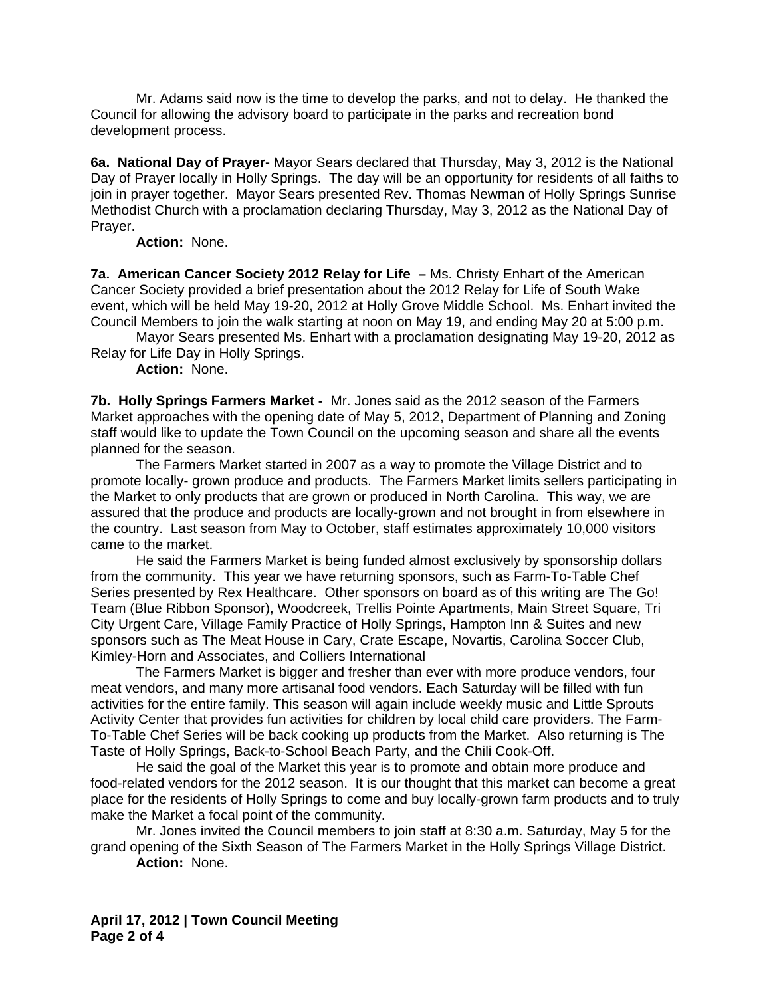Mr. Adams said now is the time to develop the parks, and not to delay. He thanked the Council for allowing the advisory board to participate in the parks and recreation bond development process.

**6a. National Day of Prayer-** Mayor Sears declared that Thursday, May 3, 2012 is the National Day of Prayer locally in Holly Springs. The day will be an opportunity for residents of all faiths to join in prayer together. Mayor Sears presented Rev. Thomas Newman of Holly Springs Sunrise Methodist Church with a proclamation declaring Thursday, May 3, 2012 as the National Day of Prayer.

**Action:** None.

**7a. American Cancer Society 2012 Relay for Life –** Ms. Christy Enhart of the American Cancer Society provided a brief presentation about the 2012 Relay for Life of South Wake event, which will be held May 19-20, 2012 at Holly Grove Middle School. Ms. Enhart invited the Council Members to join the walk starting at noon on May 19, and ending May 20 at 5:00 p.m.

 Mayor Sears presented Ms. Enhart with a proclamation designating May 19-20, 2012 as Relay for Life Day in Holly Springs.

## **Action:** None.

**7b. Holly Springs Farmers Market -** Mr. Jones said as the 2012 season of the Farmers Market approaches with the opening date of May 5, 2012, Department of Planning and Zoning staff would like to update the Town Council on the upcoming season and share all the events planned for the season.

 The Farmers Market started in 2007 as a way to promote the Village District and to promote locally- grown produce and products. The Farmers Market limits sellers participating in the Market to only products that are grown or produced in North Carolina. This way, we are assured that the produce and products are locally-grown and not brought in from elsewhere in the country. Last season from May to October, staff estimates approximately 10,000 visitors came to the market.

 He said the Farmers Market is being funded almost exclusively by sponsorship dollars from the community. This year we have returning sponsors, such as Farm-To-Table Chef Series presented by Rex Healthcare. Other sponsors on board as of this writing are The Go! Team (Blue Ribbon Sponsor), Woodcreek, Trellis Pointe Apartments, Main Street Square, Tri City Urgent Care, Village Family Practice of Holly Springs, Hampton Inn & Suites and new sponsors such as The Meat House in Cary, Crate Escape, Novartis, Carolina Soccer Club, Kimley-Horn and Associates, and Colliers International

 The Farmers Market is bigger and fresher than ever with more produce vendors, four meat vendors, and many more artisanal food vendors. Each Saturday will be filled with fun activities for the entire family. This season will again include weekly music and Little Sprouts Activity Center that provides fun activities for children by local child care providers. The Farm-To-Table Chef Series will be back cooking up products from the Market. Also returning is The Taste of Holly Springs, Back-to-School Beach Party, and the Chili Cook-Off.

 He said the goal of the Market this year is to promote and obtain more produce and food-related vendors for the 2012 season. It is our thought that this market can become a great place for the residents of Holly Springs to come and buy locally-grown farm products and to truly make the Market a focal point of the community.

Mr. Jones invited the Council members to join staff at 8:30 a.m. Saturday, May 5 for the grand opening of the Sixth Season of The Farmers Market in the Holly Springs Village District.

**Action:** None.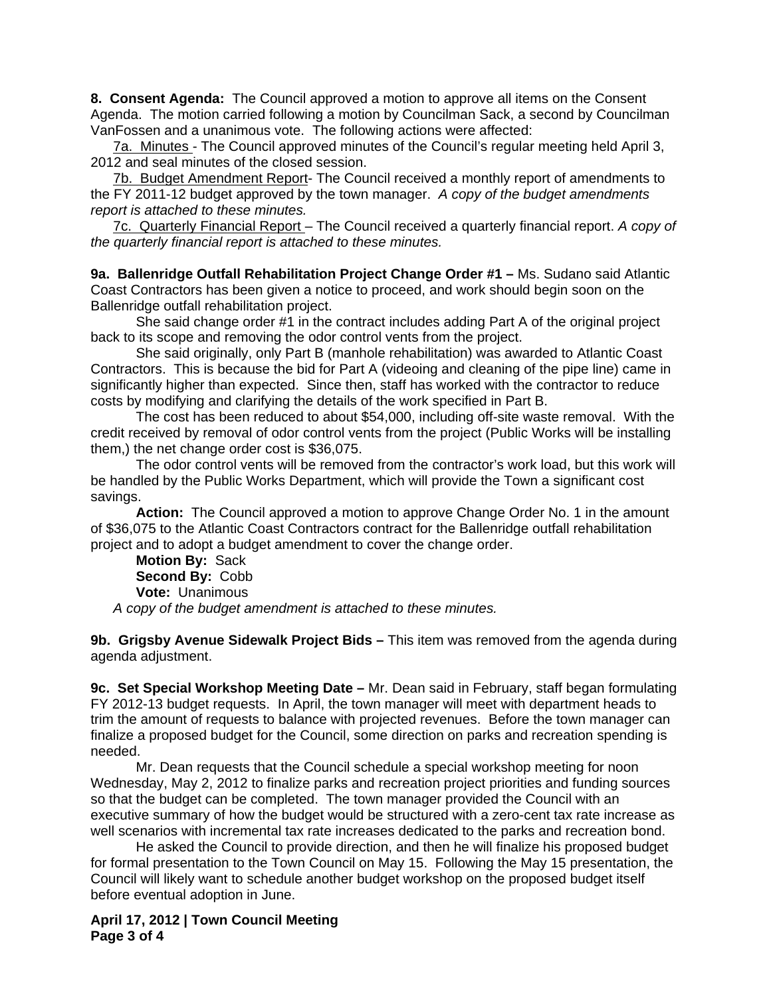**8. Consent Agenda:** The Council approved a motion to approve all items on the Consent Agenda. The motion carried following a motion by Councilman Sack, a second by Councilman VanFossen and a unanimous vote. The following actions were affected:

7a. Minutes - The Council approved minutes of the Council's regular meeting held April 3, 2012 and seal minutes of the closed session.

7b. Budget Amendment Report- The Council received a monthly report of amendments to the FY 2011-12 budget approved by the town manager. *A copy of the budget amendments report is attached to these minutes.* 

7c. Quarterly Financial Report – The Council received a quarterly financial report. *A copy of the quarterly financial report is attached to these minutes.* 

**9a. Ballenridge Outfall Rehabilitation Project Change Order #1 –** Ms. Sudano said Atlantic Coast Contractors has been given a notice to proceed, and work should begin soon on the Ballenridge outfall rehabilitation project.

She said change order #1 in the contract includes adding Part A of the original project back to its scope and removing the odor control vents from the project.

 She said originally, only Part B (manhole rehabilitation) was awarded to Atlantic Coast Contractors. This is because the bid for Part A (videoing and cleaning of the pipe line) came in significantly higher than expected. Since then, staff has worked with the contractor to reduce costs by modifying and clarifying the details of the work specified in Part B.

The cost has been reduced to about \$54,000, including off-site waste removal. With the credit received by removal of odor control vents from the project (Public Works will be installing them,) the net change order cost is \$36,075.

 The odor control vents will be removed from the contractor's work load, but this work will be handled by the Public Works Department, which will provide the Town a significant cost savings.

**Action:** The Council approved a motion to approve Change Order No. 1 in the amount of \$36,075 to the Atlantic Coast Contractors contract for the Ballenridge outfall rehabilitation project and to adopt a budget amendment to cover the change order.

**Motion By:** Sack **Second By:** Cobb **Vote:** Unanimous *A copy of the budget amendment is attached to these minutes.* 

**9b. Grigsby Avenue Sidewalk Project Bids –** This item was removed from the agenda during agenda adjustment.

**9c. Set Special Workshop Meeting Date –** Mr. Dean said in February, staff began formulating FY 2012-13 budget requests. In April, the town manager will meet with department heads to trim the amount of requests to balance with projected revenues. Before the town manager can finalize a proposed budget for the Council, some direction on parks and recreation spending is needed.

 Mr. Dean requests that the Council schedule a special workshop meeting for noon Wednesday, May 2, 2012 to finalize parks and recreation project priorities and funding sources so that the budget can be completed. The town manager provided the Council with an executive summary of how the budget would be structured with a zero-cent tax rate increase as well scenarios with incremental tax rate increases dedicated to the parks and recreation bond.

 He asked the Council to provide direction, and then he will finalize his proposed budget for formal presentation to the Town Council on May 15. Following the May 15 presentation, the Council will likely want to schedule another budget workshop on the proposed budget itself before eventual adoption in June.

**April 17, 2012 | Town Council Meeting Page 3 of 4**